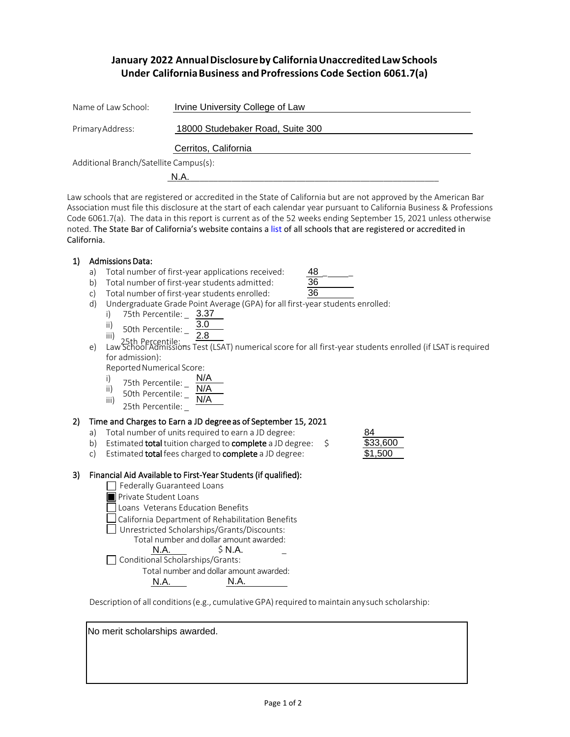## **January 2022 AnnualDisclosureby CaliforniaUnaccreditedLawSchools Under CaliforniaBusiness and Profressions Code Section 6061.7(a)**

| Name of Law School:                    | Irvine University College of Law |  |  |  |
|----------------------------------------|----------------------------------|--|--|--|
| Primary Address:                       | 18000 Studebaker Road, Suite 300 |  |  |  |
|                                        | Cerritos, California             |  |  |  |
| Additional Branch/Satellite Campus(s): |                                  |  |  |  |
|                                        | N.A.                             |  |  |  |

Law schools that are registered or accredited in the State of California but are not approved by the American Bar Association must file this disclosure at the start of each calendar year pursuant to California Business & Professions Code 6061.7(a). The data in this report is current as of the 52 weeks ending September 15, 2021 unless otherwise noted. The State Bar of California's website contains [a list o](http://www.calbar.ca.gov/Admissions/Law-School-Regulation/Law-Schools)f all schools that are registered or accredited in California.

## 1) Admissions Data:

- a) Total number of first-year applications received:
- b) Total number of first-year students admitted:

| $\sim$ |
|--------|

48

- c) Total number of first-year students enrolled:
- d) Undergraduate Grade Point Average (GPA) for all first-year students enrolled:
	- i) 75th Percentile: 3.37
	- ii) 50th Percentile:  $\frac{1}{2}$ 3.0
	- 2.8
- iii) 25th Percentile: 2.8<br>25th Percentile: 2.8<br>29 Law School Admissions Test (LSAT) numerical score for all first-year students enrolled (if LSAT is required for admission):

Reported Numerical Score:

- $\begin{array}{cc}\n\text{i)} & \text{75th} & \text{Percentile:} \\
\text{ii)} & \text{60th} & \text{Percentage} \\
\end{array}$ N/A
- 50th Percentile: \_  $\frac{N/A}{N/A}$
- iii) 25th Percentile:

# 2) Time and Charges to Earn a JD degree as of September 15, 2021 (ii)  $\frac{30 \text{ cm}}{25 \text{ th}}$  Percentile:  $\frac{N}{4}$ <br>Time and Charges to Earn a JD degree as of September 15, 2021<br>a) Total number of units required to earn a JD degree:  $\frac{84}{333,600}$

- a) Total number of units required to earn a JD degree:
- 
- c) Estimated **total** fees charged to **complete** a JD degree:

| 84       |  |
|----------|--|
| \$33,600 |  |
| \$1,500  |  |

## 3) Financial Aid Available to First-Year Students (if qualified):

Federally Guaranteed Loans

- **Private Student Loans**
- Loans Veterans Education Benefits
- California Department of Rehabilitation Benefits
- Unrestricted Scholarships/Grants/Discounts:
	- Total number and dollar amount awarded: <u>N.A.</u> \$ N.A. \_\_\_\_\_\_

 $\Box$  Conditional Scholarships/Grants:

Total number and dollar amount awarded:

N.A. N.A.

Description of all conditions (e.g., cumulative GPA) required to maintain any such scholarship:

No merit scholarships awarded.